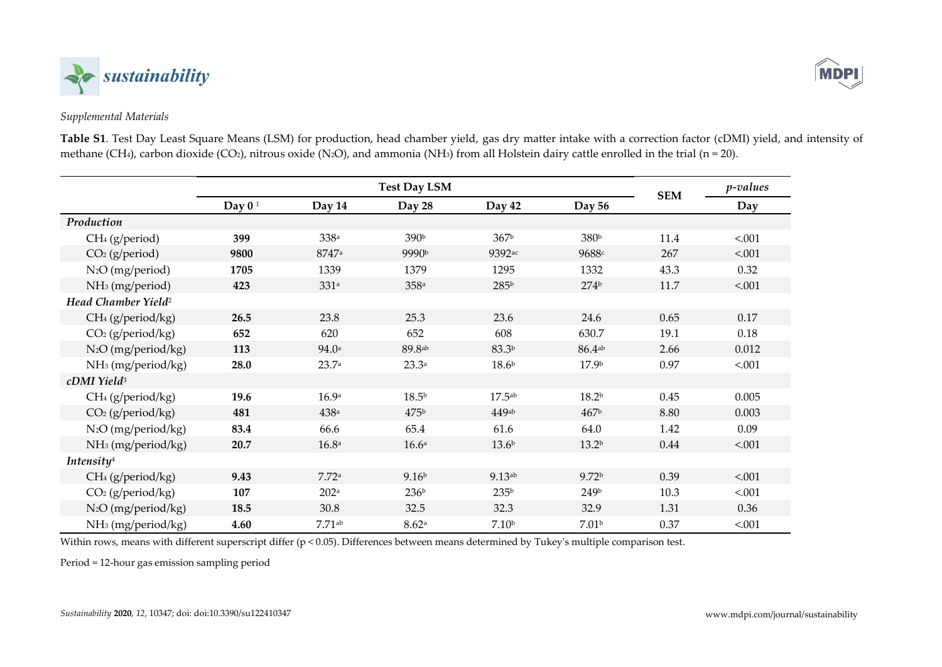



## *Supplemental Materials*

**Table S1**. Test Day Least Square Means (LSM) for production, head chamber yield, gas dry matter intake with a correction factor (cDMI) yield, and intensity of methane (CH<sub>4</sub>), carbon dioxide (CO<sub>2</sub>), nitrous oxide (N<sub>2</sub>O), and ammonia (NH<sub>3</sub>) from all Holstein dairy cattle enrolled in the trial (n = 20).

|                                 | <b>Test Day LSM</b> |                      |                   |                      |                      |            | <i>p</i> -values |
|---------------------------------|---------------------|----------------------|-------------------|----------------------|----------------------|------------|------------------|
|                                 | Day $01$            | Day 14               | Day 28            | Day 42               | Day 56               | <b>SEM</b> | Day              |
| Production                      |                     |                      |                   |                      |                      |            |                  |
| $CH4$ (g/period)                | 399                 | 338a                 | 390b              | 367 <sup>b</sup>     | 380b                 | 11.4       | < .001           |
| $CO2$ (g/period)                | 9800                | 8747a                | 9990b             | 9392ac               | 9688c                | 267        | < .001           |
| $N_2O$ (mg/period)              | 1705                | 1339                 | 1379              | 1295                 | 1332                 | 43.3       | 0.32             |
| NH <sub>3</sub> (mg/period)     | 423                 | 331a                 | 358a              | 285b                 | 274 <sup>b</sup>     | 11.7       | < .001           |
| Head Chamber Yield <sup>2</sup> |                     |                      |                   |                      |                      |            |                  |
| CH <sub>4</sub> (g/period/kg)   | 26.5                | 23.8                 | 25.3              | 23.6                 | 24.6                 | 0.65       | 0.17             |
| $CO2$ (g/period/kg)             | 652                 | 620                  | 652               | 608                  | 630.7                | 19.1       | 0.18             |
| N <sub>2</sub> O (mg/period/kg) | 113                 | 94.0a                | 89.8ab            | 83.3b                | $86.4$ <sup>ab</sup> | 2.66       | 0.012            |
| NH <sub>3</sub> (mg/period/kg)  | 28.0                | 23.7a                | 23.3a             | 18.6 <sup>b</sup>    | 17.9 <sup>b</sup>    | 0.97       | < .001           |
| cDMI Yield <sup>3</sup>         |                     |                      |                   |                      |                      |            |                  |
| $CH4$ (g/period/kg)             | 19.6                | 16.9a                | 18.5 <sup>b</sup> | 17.5a <sub>b</sub>   | 18.2 <sup>b</sup>    | 0.45       | 0.005            |
| $CO2$ (g/period/kg)             | 481                 | 438a                 | 475 <sup>b</sup>  | $449$ ab             | 467 <sup>b</sup>     | 8.80       | 0.003            |
| N <sub>2</sub> O (mg/period/kg) | 83.4                | 66.6                 | 65.4              | 61.6                 | 64.0                 | 1.42       | 0.09             |
| NH <sub>3</sub> (mg/period/kg)  | 20.7                | 16.8a                | 16.6 <sup>a</sup> | 13.6 <sup>b</sup>    | 13.2 <sup>b</sup>    | 0.44       | < .001           |
| Intensity <sup>4</sup>          |                     |                      |                   |                      |                      |            |                  |
| CH <sub>4</sub> (g/period/kg)   | 9.43                | 7.72a                | 9.16 <sup>b</sup> | $9.13$ <sup>ab</sup> | 9.72 <sup>b</sup>    | 0.39       | < .001           |
| CO <sub>2</sub> (g/period/kg)   | 107                 | 202 <sup>a</sup>     | 236 <sup>b</sup>  | 235 <sup>b</sup>     | 249b                 | 10.3       | < .001           |
| N <sub>2</sub> O (mg/period/kg) | 18.5                | 30.8                 | 32.5              | 32.3                 | 32.9                 | 1.31       | 0.36             |
| NH <sub>3</sub> (mg/period/kg)  | 4.60                | $7.71$ <sup>ab</sup> | 8.62a             | 7.10 <sup>b</sup>    | 7.01 <sup>b</sup>    | 0.37       | < .001           |

Within rows, means with different superscript differ (p < 0.05). Differences between means determined by Tukey's multiple comparison test.

Period = 12-hour gas emission sampling period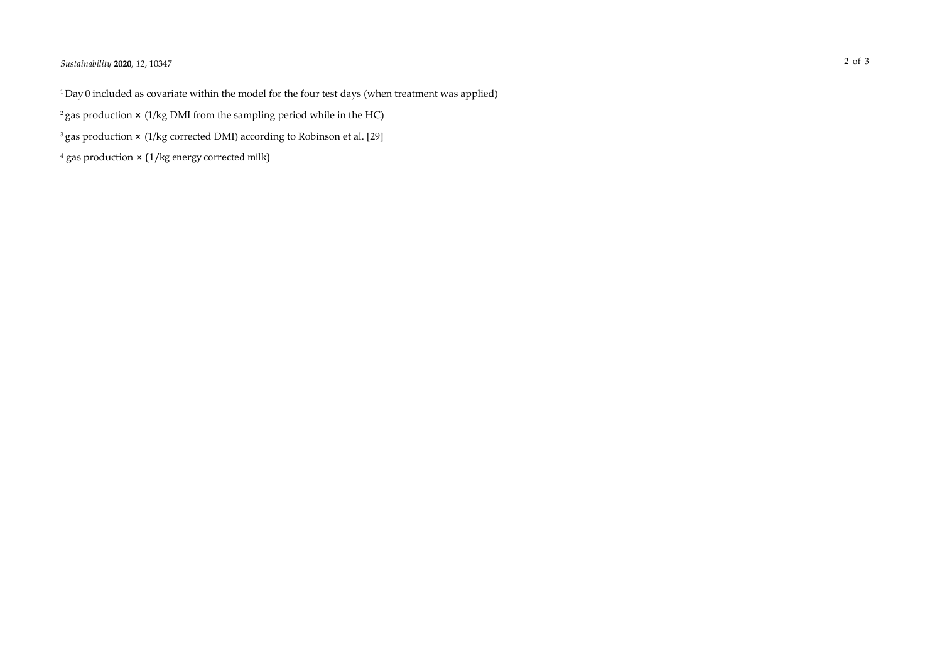## *Sustainability* **2020**, *12*, 10347 2 of 3

<sup>1</sup>Day 0 included as covariate within the model for the four test days (when treatment was applied)

- <sup>2</sup> gas production  $\times$  (1/kg DMI from the sampling period while in the HC)
- <sup>3</sup> gas production × (1/kg corrected DMI) according to Robinson et al. [29]
- $4$  gas production  $\times$  (1/kg energy corrected milk)